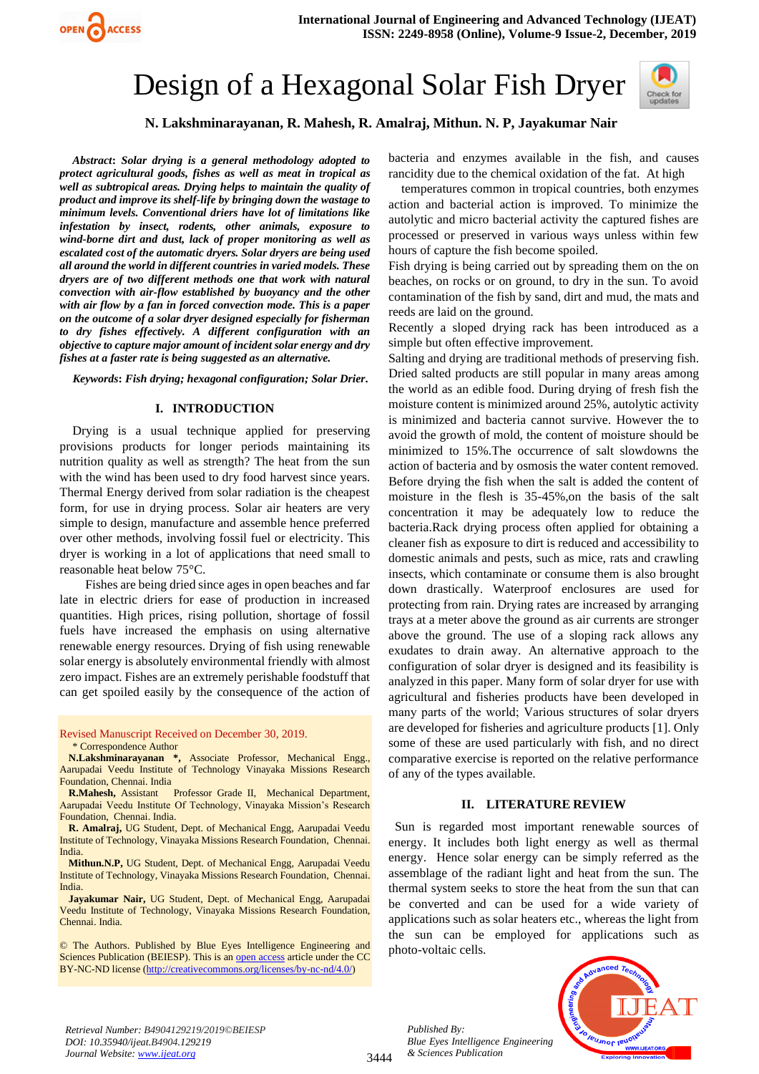# Design of a Hexagonal Solar Fish Dryer



## **N. Lakshminarayanan, R. Mahesh, R. Amalraj, Mithun. N. P, Jayakumar Nair**

*Abstract***:** *Solar drying is a general methodology adopted to protect agricultural goods, fishes as well as meat in tropical as well as subtropical areas. Drying helps to maintain the quality of product and improve its shelf-life by bringing down the wastage to minimum levels. Conventional driers have lot of limitations like infestation by insect, rodents, other animals, exposure to wind-borne dirt and dust, lack of proper monitoring as well as escalated cost of the automatic dryers. Solar dryers are being used all around the world in different countries in varied models. These dryers are of two different methods one that work with natural convection with air-flow established by buoyancy and the other with air flow by a fan in forced convection mode. This is a paper on the outcome of a solar dryer designed especially for fisherman to dry fishes effectively. A different configuration with an objective to capture major amount of incident solar energy and dry fishes at a faster rate is being suggested as an alternative.*

*Keywords***:** *Fish drying; hexagonal configuration; Solar Drier***.**

#### **I. INTRODUCTION**

Drying is a usual technique applied for preserving provisions products for longer periods maintaining its nutrition quality as well as strength? The heat from the sun with the wind has been used to dry food harvest since years. Thermal Energy derived from solar radiation is the cheapest form, for use in drying process. Solar air heaters are very simple to design, manufacture and assemble hence preferred over other methods, involving fossil fuel or electricity. This dryer is working in a lot of applications that need small to reasonable heat below 75°C.

Fishes are being dried since ages in open beaches and far late in electric driers for ease of production in increased quantities. High prices, rising pollution, shortage of fossil fuels have increased the emphasis on using alternative renewable energy resources. Drying of fish using renewable solar energy is absolutely environmental friendly with almost zero impact. Fishes are an extremely perishable foodstuff that can get spoiled easily by the consequence of the action of

Revised Manuscript Received on December 30, 2019.

\* Correspondence Author

**N.Lakshminarayanan \*,** Associate Professor, Mechanical Engg., Aarupadai Veedu Institute of Technology Vinayaka Missions Research Foundation, Chennai. India

**R.Mahesh,** Assistant Professor Grade II, Mechanical Department, Aarupadai Veedu Institute Of Technology, Vinayaka Mission's Research Foundation, Chennai. India.

**R. Amalraj,** UG Student, Dept. of Mechanical Engg, Aarupadai Veedu Institute of Technology, Vinayaka Missions Research Foundation, Chennai. India.

**Mithun.N.P,** UG Student, Dept. of Mechanical Engg, Aarupadai Veedu Institute of Technology, Vinayaka Missions Research Foundation, Chennai. India.

**Jayakumar Nair,** UG Student, Dept. of Mechanical Engg, Aarupadai Veedu Institute of Technology, Vinayaka Missions Research Foundation, Chennai. India.

© The Authors. Published by Blue Eyes Intelligence Engineering and Sciences Publication (BEIESP). This is a[n open access](https://www.openaccess.nl/en/open-publications) article under the CC BY-NC-ND license [\(http://creativecommons.org/licenses/by-nc-nd/4.0/\)](http://creativecommons.org/licenses/by-nc-nd/4.0/)

bacteria and enzymes available in the fish, and causes rancidity due to the chemical oxidation of the fat. At high

temperatures common in tropical countries, both enzymes action and bacterial action is improved. To minimize the autolytic and micro bacterial activity the captured fishes are processed or preserved in various ways unless within few hours of capture the fish become spoiled.

Fish drying is being carried out by spreading them on the on beaches, on rocks or on ground, to dry in the sun. To avoid contamination of the fish by sand, dirt and mud, the mats and reeds are laid on the ground.

Recently a sloped drying rack has been introduced as a simple but often effective improvement.

Salting and drying are traditional methods of preserving fish. Dried salted products are still popular in many areas among the world as an edible food. During drying of fresh fish the moisture content is minimized around 25%, autolytic activity is minimized and bacteria cannot survive. However the to avoid the growth of mold, the content of moisture should be minimized to 15%.The occurrence of salt slowdowns the action of bacteria and by osmosis the water content removed. Before drying the fish when the salt is added the content of moisture in the flesh is 35-45%,on the basis of the salt concentration it may be adequately low to reduce the bacteria.Rack drying process often applied for obtaining a cleaner fish as exposure to dirt is reduced and accessibility to domestic animals and pests, such as mice, rats and crawling insects, which contaminate or consume them is also brought down drastically. Waterproof enclosures are used for protecting from rain. Drying rates are increased by arranging trays at a meter above the ground as air currents are stronger above the ground. The use of a sloping rack allows any exudates to drain away. An alternative approach to the configuration of solar dryer is designed and its feasibility is analyzed in this paper. Many form of solar dryer for use with agricultural and fisheries products have been developed in many parts of the world; Various structures of solar dryers are developed for fisheries and agriculture products [1]. Only some of these are used particularly with fish, and no direct comparative exercise is reported on the relative performance of any of the types available.

## **II. LITERATURE REVIEW**

 Sun is regarded most important renewable sources of energy. It includes both light energy as well as thermal energy. Hence solar energy can be simply referred as the assemblage of the radiant light and heat from the sun. The thermal system seeks to store the heat from the sun that can be converted and can be used for a wide variety of applications such as solar heaters etc., whereas the light from the sun can be employed for applications such as photo-voltaic cells.

*Retrieval Number: B4904129219/2019©BEIESP DOI: 10.35940/ijeat.B4904.129219 Journal Website[: www.ijeat.org](http://www.ijeat.org/)*

*Published By: Blue Eyes Intelligence Engineering & Sciences Publication* 

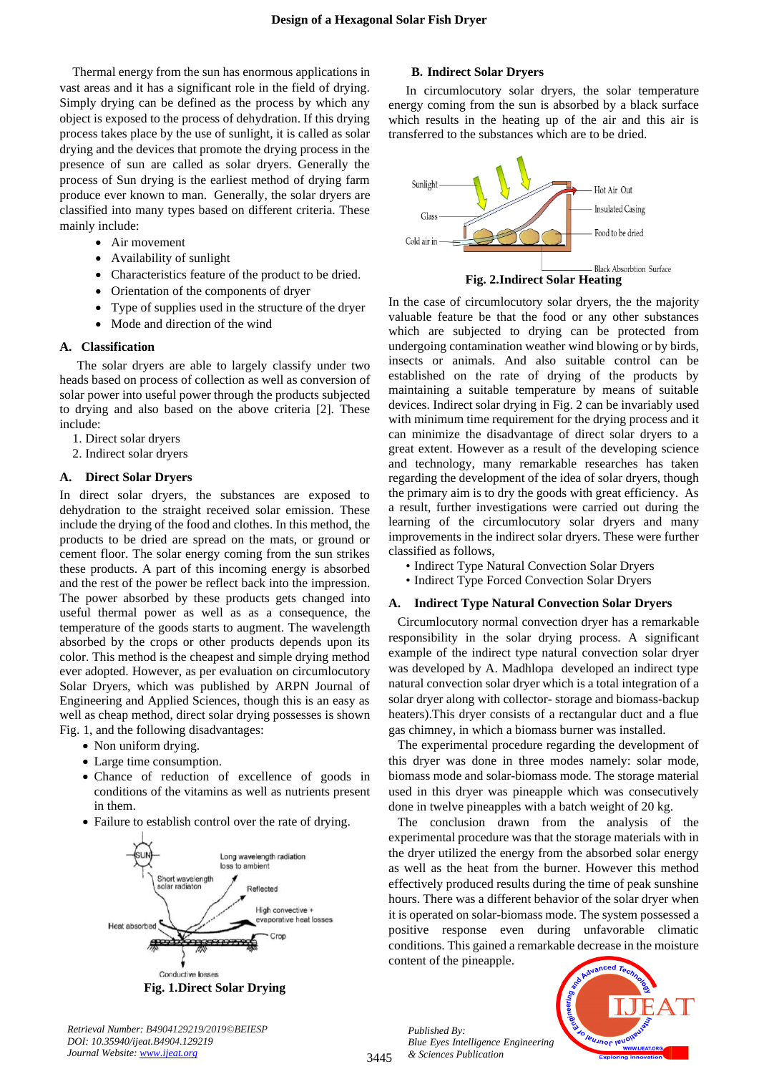Thermal energy from the sun has enormous applications in vast areas and it has a significant role in the field of drying. Simply drying can be defined as the process by which any object is exposed to the process of dehydration. If this drying process takes place by the use of sunlight, it is called as solar drying and the devices that promote the drying process in the presence of sun are called as solar dryers. Generally the process of Sun drying is the earliest method of drying farm produce ever known to man. Generally, the solar dryers are classified into many types based on different criteria. These mainly include:

- Air movement
- Availability of sunlight
- Characteristics feature of the product to be dried.
- Orientation of the components of dryer
- Type of supplies used in the structure of the dryer
- Mode and direction of the wind

#### **A. Classification**

The solar dryers are able to largely classify under two heads based on process of collection as well as conversion of solar power into useful power through the products subjected to drying and also based on the above criteria [2]. These include:

- 1. Direct solar dryers
- 2. Indirect solar dryers

#### **A.****Direct Solar Dryers**

In direct solar dryers, the substances are exposed to dehydration to the straight received solar emission. These include the drying of the food and clothes. In this method, the products to be dried are spread on the mats, or ground or cement floor. The solar energy coming from the sun strikes these products. A part of this incoming energy is absorbed and the rest of the power be reflect back into the impression. The power absorbed by these products gets changed into useful thermal power as well as as a consequence, the temperature of the goods starts to augment. The wavelength absorbed by the crops or other products depends upon its color. This method is the cheapest and simple drying method ever adopted. However, as per evaluation on circumlocutory Solar Dryers, which was published by ARPN Journal of Engineering and Applied Sciences, though this is an easy as well as cheap method, direct solar drying possesses is shown Fig. 1, and the following disadvantages:

- Non uniform drying.
- Large time consumption.
- Chance of reduction of excellence of goods in conditions of the vitamins as well as nutrients present in them.
- Failure to establish control over the rate of drying.



**B. Indirect Solar Dryers**

In circumlocutory solar dryers, the solar temperature energy coming from the sun is absorbed by a black surface which results in the heating up of the air and this air is transferred to the substances which are to be dried.



In the case of circumlocutory solar dryers, the the majority valuable feature be that the food or any other substances which are subjected to drying can be protected from undergoing contamination weather wind blowing or by birds, insects or animals. And also suitable control can be established on the rate of drying of the products by maintaining a suitable temperature by means of suitable devices. Indirect solar drying in Fig. 2 can be invariably used with minimum time requirement for the drying process and it can minimize the disadvantage of direct solar dryers to a great extent. However as a result of the developing science and technology, many remarkable researches has taken regarding the development of the idea of solar dryers, though the primary aim is to dry the goods with great efficiency. As a result, further investigations were carried out during the learning of the circumlocutory solar dryers and many improvements in the indirect solar dryers. These were further classified as follows,

- Indirect Type Natural Convection Solar Dryers
- Indirect Type Forced Convection Solar Dryers

#### **A. Indirect Type Natural Convection Solar Dryers**

Circumlocutory normal convection dryer has a remarkable responsibility in the solar drying process. A significant example of the indirect type natural convection solar dryer was developed by A. Madhlopa developed an indirect type natural convection solar dryer which is a total integration of a solar dryer along with collector- storage and biomass-backup heaters).This dryer consists of a rectangular duct and a flue gas chimney, in which a biomass burner was installed.

The experimental procedure regarding the development of this dryer was done in three modes namely: solar mode, biomass mode and solar-biomass mode. The storage material used in this dryer was pineapple which was consecutively done in twelve pineapples with a batch weight of 20 kg.

The conclusion drawn from the analysis of the experimental procedure was that the storage materials with in the dryer utilized the energy from the absorbed solar energy as well as the heat from the burner. However this method effectively produced results during the time of peak sunshine hours. There was a different behavior of the solar dryer when it is operated on solar-biomass mode. The system possessed a positive response even during unfavorable climatic conditions. This gained a remarkable decrease in the moisture content of the pineapple.

*Published By: Blue Eyes Intelligence Engineering & Sciences Publication* 



*Retrieval Number: B4904129219/2019©BEIESP DOI: 10.35940/ijeat.B4904.129219 Journal Website[: www.ijeat.org](http://www.ijeat.org/)*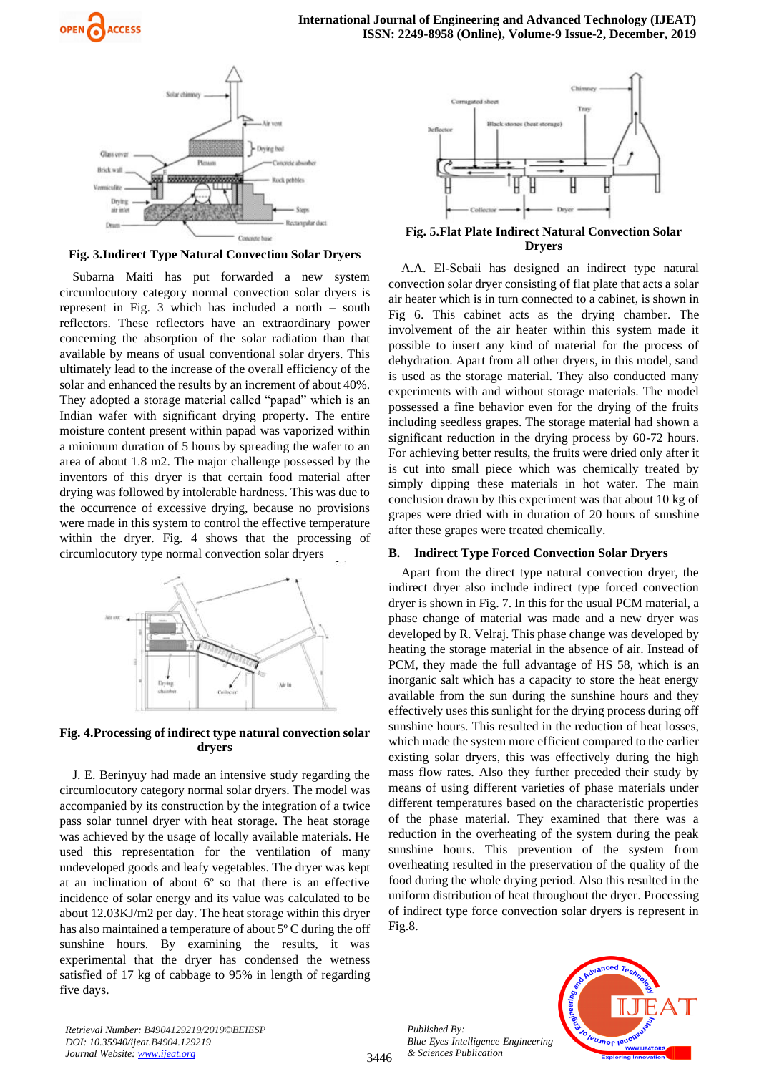

**Fig. 3.Indirect Type Natural Convection Solar Dryers**

Subarna Maiti has put forwarded a new system circumlocutory category normal convection solar dryers is represent in Fig. 3 which has included a north – south reflectors. These reflectors have an extraordinary power concerning the absorption of the solar radiation than that available by means of usual conventional solar dryers. This ultimately lead to the increase of the overall efficiency of the solar and enhanced the results by an increment of about 40%. They adopted a storage material called "papad" which is an Indian wafer with significant drying property. The entire moisture content present within papad was vaporized within a minimum duration of 5 hours by spreading the wafer to an area of about 1.8 m2. The major challenge possessed by the inventors of this dryer is that certain food material after drying was followed by intolerable hardness. This was due to the occurrence of excessive drying, because no provisions were made in this system to control the effective temperature within the dryer. Fig. 4 shows that the processing of circumlocutory type normal convection solar dryers



## **Fig. 4.Processing of indirect type natural convection solar dryers**

J. E. Berinyuy had made an intensive study regarding the circumlocutory category normal solar dryers. The model was accompanied by its construction by the integration of a twice pass solar tunnel dryer with heat storage. The heat storage was achieved by the usage of locally available materials. He used this representation for the ventilation of many undeveloped goods and leafy vegetables. The dryer was kept at an inclination of about 6º so that there is an effective incidence of solar energy and its value was calculated to be about 12.03KJ/m2 per day. The heat storage within this dryer has also maintained a temperature of about 5º C during the off sunshine hours. By examining the results, it was experimental that the dryer has condensed the wetness satisfied of 17 kg of cabbage to 95% in length of regarding five days.

*Retrieval Number: B4904129219/2019©BEIESP*

*DOI: 10.35940/ijeat.B4904.129219 Journal Website[: www.ijeat.org](http://www.ijeat.org/)*



**Fig. 5.Flat Plate Indirect Natural Convection Solar Dryers**

A.A. El-Sebaii has designed an indirect type natural convection solar dryer consisting of flat plate that acts a solar air heater which is in turn connected to a cabinet, is shown in Fig 6. This cabinet acts as the drying chamber. The involvement of the air heater within this system made it possible to insert any kind of material for the process of dehydration. Apart from all other dryers, in this model, sand is used as the storage material. They also conducted many experiments with and without storage materials. The model possessed a fine behavior even for the drying of the fruits including seedless grapes. The storage material had shown a significant reduction in the drying process by 60-72 hours. For achieving better results, the fruits were dried only after it is cut into small piece which was chemically treated by simply dipping these materials in hot water. The main conclusion drawn by this experiment was that about 10 kg of grapes were dried with in duration of 20 hours of sunshine after these grapes were treated chemically.

## **B. Indirect Type Forced Convection Solar Dryers**

Apart from the direct type natural convection dryer, the indirect dryer also include indirect type forced convection dryer is shown in Fig. 7. In this for the usual PCM material, a phase change of material was made and a new dryer was developed by R. Velraj. This phase change was developed by heating the storage material in the absence of air. Instead of PCM, they made the full advantage of HS 58, which is an inorganic salt which has a capacity to store the heat energy available from the sun during the sunshine hours and they effectively uses this sunlight for the drying process during off sunshine hours. This resulted in the reduction of heat losses, which made the system more efficient compared to the earlier existing solar dryers, this was effectively during the high mass flow rates. Also they further preceded their study by means of using different varieties of phase materials under different temperatures based on the characteristic properties of the phase material. They examined that there was a reduction in the overheating of the system during the peak sunshine hours. This prevention of the system from overheating resulted in the preservation of the quality of the food during the whole drying period. Also this resulted in the uniform distribution of heat throughout the dryer. Processing of indirect type force convection solar dryers is represent in Fig.8.

*Published By: Blue Eyes Intelligence Engineering & Sciences Publication* 

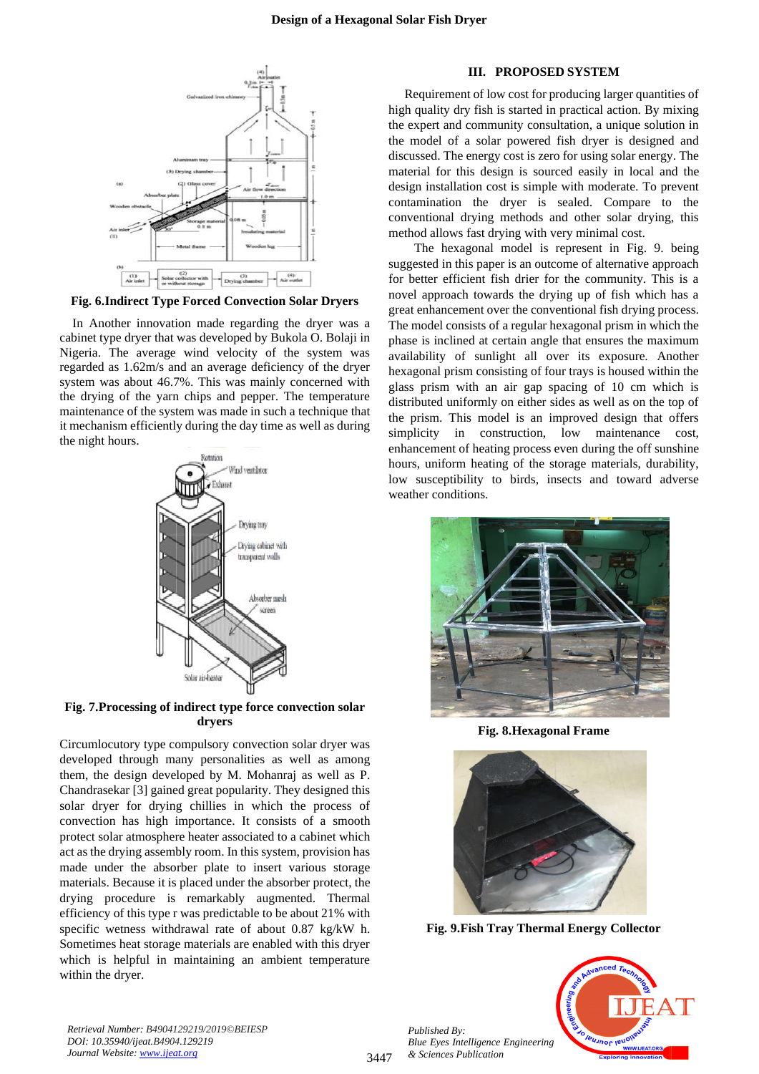

**Fig. 6.Indirect Type Forced Convection Solar Dryers**

In Another innovation made regarding the dryer was a cabinet type dryer that was developed by Bukola O. Bolaji in Nigeria. The average wind velocity of the system was regarded as 1.62m/s and an average deficiency of the dryer system was about 46.7%. This was mainly concerned with the drying of the yarn chips and pepper. The temperature maintenance of the system was made in such a technique that it mechanism efficiently during the day time as well as during the night hours.



**Fig. 7.Processing of indirect type force convection solar dryers**

Circumlocutory type compulsory convection solar dryer was developed through many personalities as well as among them, the design developed by M. Mohanraj as well as P. Chandrasekar [3] gained great popularity. They designed this solar dryer for drying chillies in which the process of convection has high importance. It consists of a smooth protect solar atmosphere heater associated to a cabinet which act as the drying assembly room. In this system, provision has made under the absorber plate to insert various storage materials. Because it is placed under the absorber protect, the drying procedure is remarkably augmented. Thermal efficiency of this type r was predictable to be about 21% with specific wetness withdrawal rate of about 0.87 kg/kW h. Sometimes heat storage materials are enabled with this dryer which is helpful in maintaining an ambient temperature within the dryer.

#### **III. PROPOSED SYSTEM**

Requirement of low cost for producing larger quantities of high quality dry fish is started in practical action. By mixing the expert and community consultation, a unique solution in the model of a solar powered fish dryer is designed and discussed. The energy cost is zero for using solar energy. The material for this design is sourced easily in local and the design installation cost is simple with moderate. To prevent contamination the dryer is sealed. Compare to the conventional drying methods and other solar drying, this method allows fast drying with very minimal cost.

The hexagonal model is represent in Fig. 9. being suggested in this paper is an outcome of alternative approach for better efficient fish drier for the community. This is a novel approach towards the drying up of fish which has a great enhancement over the conventional fish drying process. The model consists of a regular hexagonal prism in which the phase is inclined at certain angle that ensures the maximum availability of sunlight all over its exposure. Another hexagonal prism consisting of four trays is housed within the glass prism with an air gap spacing of 10 cm which is distributed uniformly on either sides as well as on the top of the prism. This model is an improved design that offers simplicity in construction, low maintenance cost, enhancement of heating process even during the off sunshine hours, uniform heating of the storage materials, durability, low susceptibility to birds, insects and toward adverse weather conditions.



**Fig. 8.Hexagonal Frame**



**Fig. 9.Fish Tray Thermal Energy Collector**



*Retrieval Number: B4904129219/2019©BEIESP DOI: 10.35940/ijeat.B4904.129219 Journal Website[: www.ijeat.org](http://www.ijeat.org/)*

*Published By:*

*& Sciences Publication*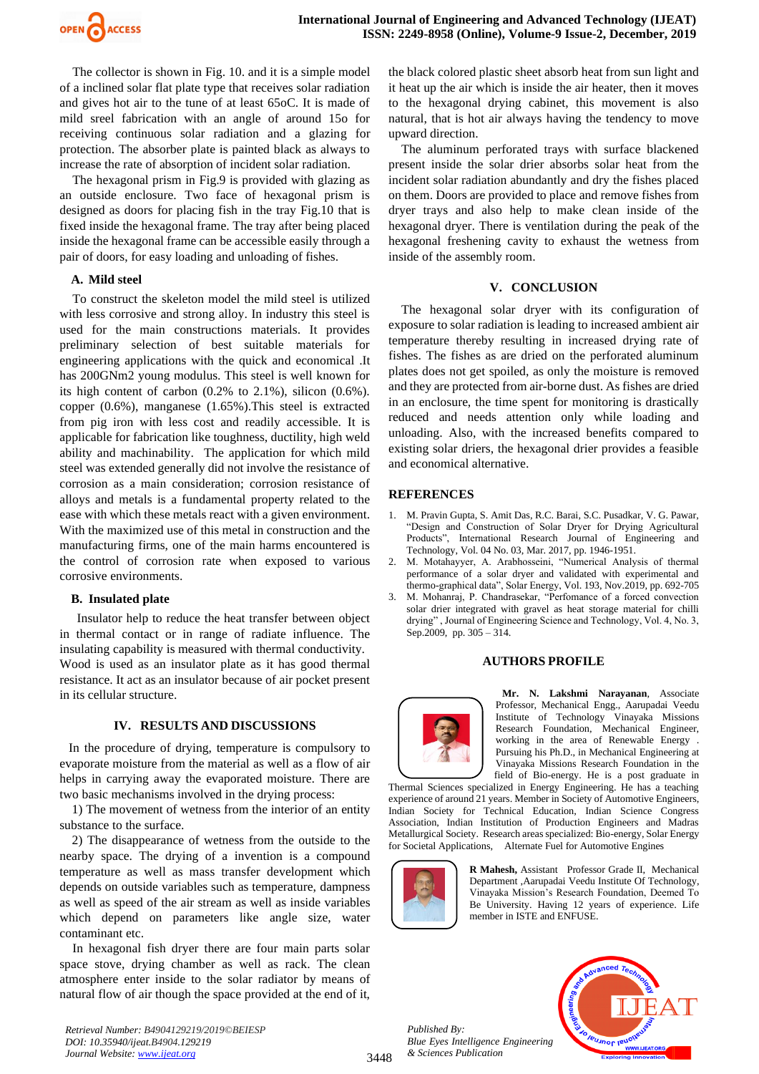

The collector is shown in Fig. 10. and it is a simple model of a inclined solar flat plate type that receives solar radiation and gives hot air to the tune of at least 65oC. It is made of mild sreel fabrication with an angle of around 15o for receiving continuous solar radiation and a glazing for protection. The absorber plate is painted black as always to increase the rate of absorption of incident solar radiation.

The hexagonal prism in Fig.9 is provided with glazing as an outside enclosure. Two face of hexagonal prism is designed as doors for placing fish in the tray Fig.10 that is fixed inside the hexagonal frame. The tray after being placed inside the hexagonal frame can be accessible easily through a pair of doors, for easy loading and unloading of fishes.

#### **A. Mild steel**

To construct the skeleton model the mild steel is utilized with less corrosive and strong alloy. In industry this steel is used for the main constructions materials. It provides preliminary selection of best suitable materials for engineering applications with the quick and economical .It has 200GNm2 young modulus. This steel is well known for its high content of carbon (0.2% to 2.1%), silicon (0.6%). copper (0.6%), manganese (1.65%).This steel is extracted from pig iron with less cost and readily accessible. It is applicable for fabrication like toughness, ductility, high weld ability and machinability. The application for which mild steel was extended generally did not involve the resistance of corrosion as a main consideration; corrosion resistance of alloys and metals is a fundamental property related to the ease with which these metals react with a given environment. With the maximized use of this metal in construction and the manufacturing firms, one of the main harms encountered is the control of corrosion rate when exposed to various corrosive environments.

#### **B. Insulated plate**

Insulator help to reduce the heat transfer between object in thermal contact or in range of radiate influence. The insulating capability is measured with thermal conductivity. Wood is used as an insulator plate as it has good thermal resistance. It act as an insulator because of air pocket present in its cellular structure.

#### **IV. RESULTS AND DISCUSSIONS**

In the procedure of drying, temperature is compulsory to evaporate moisture from the material as well as a flow of air helps in carrying away the evaporated moisture. There are two basic mechanisms involved in the drying process:

1) The movement of wetness from the interior of an entity substance to the surface.

2) The disappearance of wetness from the outside to the nearby space. The drying of a invention is a compound temperature as well as mass transfer development which depends on outside variables such as temperature, dampness as well as speed of the air stream as well as inside variables which depend on parameters like angle size, water contaminant etc.

In hexagonal fish dryer there are four main parts solar space stove, drying chamber as well as rack. The clean atmosphere enter inside to the solar radiator by means of natural flow of air though the space provided at the end of it,

*Retrieval Number: B4904129219/2019©BEIESP DOI: 10.35940/ijeat.B4904.129219 Journal Website[: www.ijeat.org](http://www.ijeat.org/)*

the black colored plastic sheet absorb heat from sun light and it heat up the air which is inside the air heater, then it moves to the hexagonal drying cabinet, this movement is also natural, that is hot air always having the tendency to move upward direction.

The aluminum perforated trays with surface blackened present inside the solar drier absorbs solar heat from the incident solar radiation abundantly and dry the fishes placed on them. Doors are provided to place and remove fishes from dryer trays and also help to make clean inside of the hexagonal dryer. There is ventilation during the peak of the hexagonal freshening cavity to exhaust the wetness from inside of the assembly room.

## **V. CONCLUSION**

The hexagonal solar dryer with its configuration of exposure to solar radiation is leading to increased ambient air temperature thereby resulting in increased drying rate of fishes. The fishes as are dried on the perforated aluminum plates does not get spoiled, as only the moisture is removed and they are protected from air-borne dust. As fishes are dried in an enclosure, the time spent for monitoring is drastically reduced and needs attention only while loading and unloading. Also, with the increased benefits compared to existing solar driers, the hexagonal drier provides a feasible and economical alternative.

## **REFERENCES**

- 1. M. Pravin Gupta, S. Amit Das, R.C. Barai, S.C. Pusadkar, V. G. Pawar, "Design and Construction of Solar Dryer for Drying Agricultural Products", International Research Journal of Engineering and Technology, Vol. 04 No. 03, Mar. 2017, pp. 1946-1951.
- 2. M. Motahayyer, A. Arabhosseini, "Numerical Analysis of thermal performance of a solar dryer and validated with experimental and thermo-graphical data", Solar Energy, Vol. 193, Nov.2019, pp. 692-705
- 3. M. Mohanraj, P. Chandrasekar, "Perfomance of a forced convection solar drier integrated with gravel as heat storage material for chilli drying" , Journal of Engineering Science and Technology, Vol. 4, No. 3, Sep.2009, pp. 305 – 314.

#### **AUTHORS PROFILE**



**Mr. N. Lakshmi Narayanan**, Associate Professor, Mechanical Engg., Aarupadai Veedu Institute of Technology Vinayaka Missions Research Foundation, Mechanical Engineer, working in the area of Renewable Energy . Pursuing his Ph.D., in Mechanical Engineering at Vinayaka Missions Research Foundation in the field of Bio-energy. He is a post graduate in

Thermal Sciences specialized in Energy Engineering. He has a teaching experience of around 21 years. Member in Society of Automotive Engineers, Indian Society for Technical Education, Indian Science Congress Association, Indian Institution of Production Engineers and Madras Metallurgical Society. Research areas specialized: Bio-energy, Solar Energy for Societal Applications, Alternate Fuel for Automotive Engines



**R Mahesh,** Assistant Professor Grade II, Mechanical Department ,Aarupadai Veedu Institute Of Technology, Vinayaka Mission's Research Foundation, Deemed To Be University. Having 12 years of experience. Life member in ISTE and ENFUSE.

*Published By: Blue Eyes Intelligence Engineering & Sciences Publication* 



3448